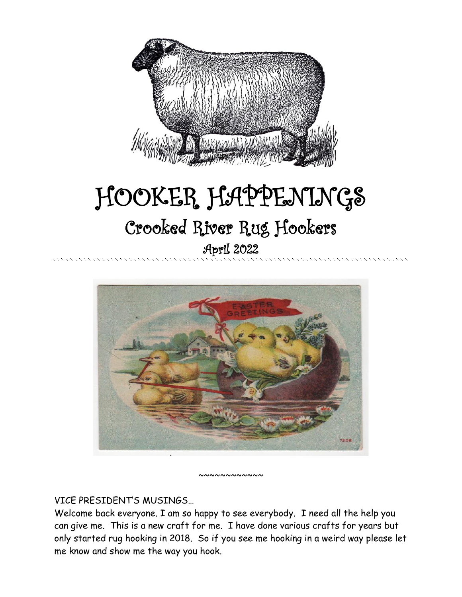

# HOOKER HAPPENINGS Crooked River Rug Hookers April 2022



VICE PRESIDENT'S MUSINGS…

Welcome back everyone. I am so happy to see everybody. I need all the help you can give me. This is a new craft for me. I have done various crafts for years but only started rug hooking in 2018. So if you see me hooking in a weird way please let me know and show me the way you hook.

 $\sim$   $\sim$   $\sim$   $\sim$   $\sim$   $\sim$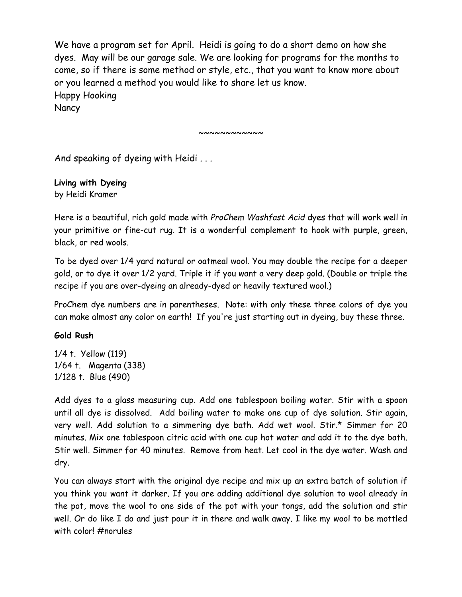We have a program set for April. Heidi is going to do a short demo on how she dyes. May will be our garage sale. We are looking for programs for the months to come, so if there is some method or style, etc., that you want to know more about or you learned a method you would like to share let us know. Happy Hooking **Nancy** 

~~~~~~~~~~~~

And speaking of dyeing with Heidi . . .

**Living with Dyeing** by Heidi Kramer

Here is a beautiful, rich gold made with *ProChem Washfast Acid* dyes that will work well in your primitive or fine-cut rug. It is a wonderful complement to hook with purple, green, black, or red wools.

To be dyed over 1/4 yard natural or oatmeal wool. You may double the recipe for a deeper gold, or to dye it over 1/2 yard. Triple it if you want a very deep gold. (Double or triple the recipe if you are over-dyeing an already-dyed or heavily textured wool.)

ProChem dye numbers are in parentheses. Note: with only these three colors of dye you can make almost any color on earth! If you're just starting out in dyeing, buy these three.

#### **Gold Rush**

1/4 t. Yellow (119) 1/64 t. Magenta (338) 1/128 t. Blue (490)

Add dyes to a glass measuring cup. Add one tablespoon boiling water. Stir with a spoon until all dye is dissolved. Add boiling water to make one cup of dye solution. Stir again, very well. Add solution to a simmering dye bath. Add wet wool. Stir.\* Simmer for 20 minutes. Mix one tablespoon citric acid with one cup hot water and add it to the dye bath. Stir well. Simmer for 40 minutes. Remove from heat. Let cool in the dye water. Wash and dry.

You can always start with the original dye recipe and mix up an extra batch of solution if you think you want it darker. If you are adding additional dye solution to wool already in the pot, move the wool to one side of the pot with your tongs, add the solution and stir well. Or do like I do and just pour it in there and walk away. I like my wool to be mottled with color! #norules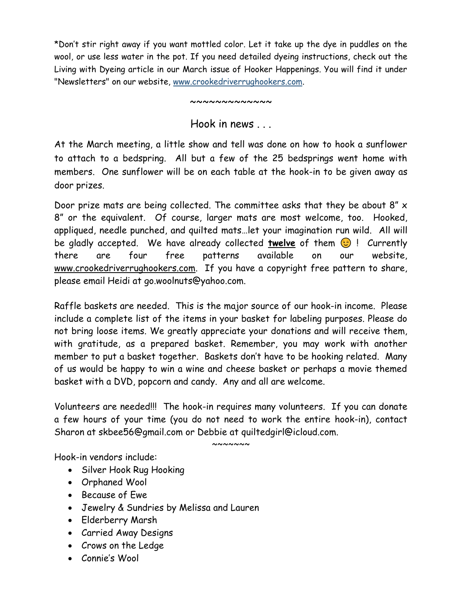\*Don't stir right away if you want mottled color. Let it take up the dye in puddles on the wool, or use less water in the pot. If you need detailed dyeing instructions, check out the Living with Dyeing article in our March issue of Hooker Happenings. You will find it under "Newsletters" on our website, [www.crookedriverrughookers.com.](http://www.crookedriverrughookers.com/)

~~~~~~~~~~~

Hook in news

At the March meeting, a little show and tell was done on how to hook a sunflower to attach to a bedspring. All but a few of the 25 bedsprings went home with members. One sunflower will be on each table at the hook-in to be given away as door prizes.

Door prize mats are being collected. The committee asks that they be about 8" x 8" or the equivalent. Of course, larger mats are most welcome, too. Hooked, appliqued, needle punched, and quilted mats…let your imagination run wild. All will be gladly accepted. We have already collected **twelve** of them  $\odot$  ! Currently there are four free patterns available on our website, [www.crookedriverrughookers.com.](http://www.crookedriverrughookers.com/) If you have a copyright free pattern to share, please email Heidi at go.woolnuts@yahoo.com.

Raffle baskets are needed. This is the major source of our hook-in income. Please include a complete list of the items in your basket for labeling purposes. Please do not bring loose items. We greatly appreciate your donations and will receive them, with gratitude, as a prepared basket. Remember, you may work with another member to put a basket together. Baskets don't have to be hooking related. Many of us would be happy to win a wine and cheese basket or perhaps a movie themed basket with a DVD, popcorn and candy. Any and all are welcome.

Volunteers are needed!!! The hook-in requires many volunteers. If you can donate a few hours of your time (you do not need to work the entire hook-in), contact Sharon at skbee56@gmail.com or Debbie at quiltedgirl@icloud.com.

 $\sim\sim\sim\sim\sim\sim$ 

Hook-in vendors include:

- Silver Hook Rug Hooking
- Orphaned Wool
- Because of Ewe
- Jewelry & Sundries by Melissa and Lauren
- Elderberry Marsh
- Carried Away Designs
- Crows on the Ledge
- Connie's Wool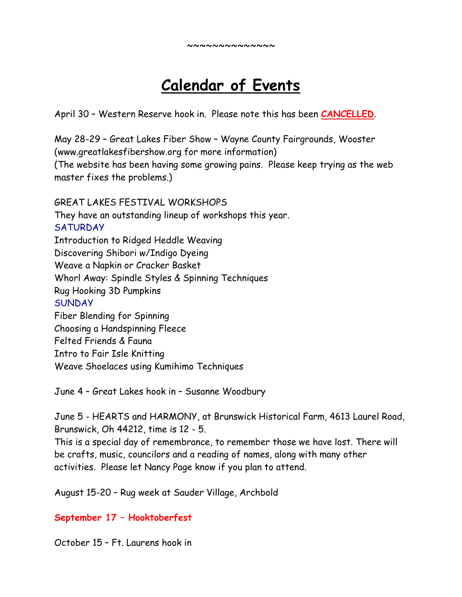## **Calendar of Events**

April 30 – Western Reserve hook in. Please note this has been **CANCELLED**.

May 28-29 – Great Lakes Fiber Show – Wayne County Fairgrounds, Wooster (www.greatlakesfibershow.org for more information) (The website has been having some growing pains. Please keep trying as the web master fixes the problems.)

GREAT LAKES FESTIVAL WORKSHOPS They have an outstanding lineup of workshops this year. **SATURDAY** Introduction to Ridged Heddle Weaving Discovering Shibori w/Indigo Dyeing Weave a Napkin or Cracker Basket Whorl Away: Spindle Styles & Spinning Techniques Rug Hooking 3D Pumpkins **SUNDAY** Fiber Blending for Spinning Choosing a Handspinning Fleece Felted Friends & Fauna Intro to Fair Isle Knitting Weave Shoelaces using Kumihimo Techniques

June 4 – Great Lakes hook in – Susanne Woodbury

June 5 - HEARTS and HARMONY, at Brunswick Historical Farm, 4613 Laurel Road, Brunswick, Oh 44212, time is 12 - 5.

This is a special day of remembrance, to remember those we have lost. There will be crafts, music, councilors and a reading of names, along with many other activities. Please let Nancy Page know if you plan to attend.

August 15-20 – Rug week at Sauder Village, Archbold

#### **September 17 – Hooktoberfest**

October 15 – Ft. Laurens hook in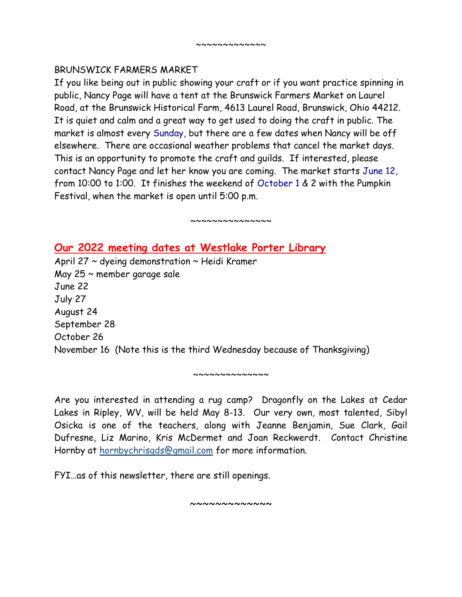#### BRUNSWICK FARMERS MARKET

If you like being out in public showing your craft or if you want practice spinning in public, Nancy Page will have a tent at the Brunswick Farmers Market on Laurel Road, at the Brunswick Historical Farm, 4613 Laurel Road, Brunswick, Ohio 44212. It is quiet and calm and a great way to get used to doing the craft in public. The market is almost every Sunday, but there are a few dates when Nancy will be off elsewhere. There are occasional weather problems that cancel the market days. This is an opportunity to promote the craft and guilds. If interested, please contact Nancy Page and let her know you are coming. The market starts June 12, from 10:00 to 1:00. It finishes the weekend of October 1 & 2 with the Pumpkin Festival, when the market is open until 5:00 p.m.

 $~\sim~\sim~\sim~\sim~\sim~\sim~\sim~\sim~\sim~\sim$ 

### **Our 2022 meeting dates at Westlake Porter Library**

April 27  $\sim$  dyeing demonstration  $\sim$  Heidi Kramer May 25 ~ member garage sale June 22 July 27 August 24 September 28 October 26 November 16 (Note this is the third Wednesday because of Thanksgiving)

Are you interested in attending a rug camp? Dragonfly on the Lakes at Cedar Lakes in Ripley, WV, will be held May 8-13. Our very own, most talented, Sibyl Osicka is one of the teachers, along with Jeanne Benjamin, Sue Clark, Gail Dufresne, Liz Marino, Kris McDermet and Joan Reckwerdt. Contact Christine Hornby at [hornbychrisgds@gmail.com](mailto:hornbychrisgds@gmail.com) for more information.

 $~\sim~\sim~\sim~\sim~\sim~\sim~\sim~\sim~\sim~\sim$ 

FYI…as of this newsletter, there are still openings.

~~~~~~~~~~~~~